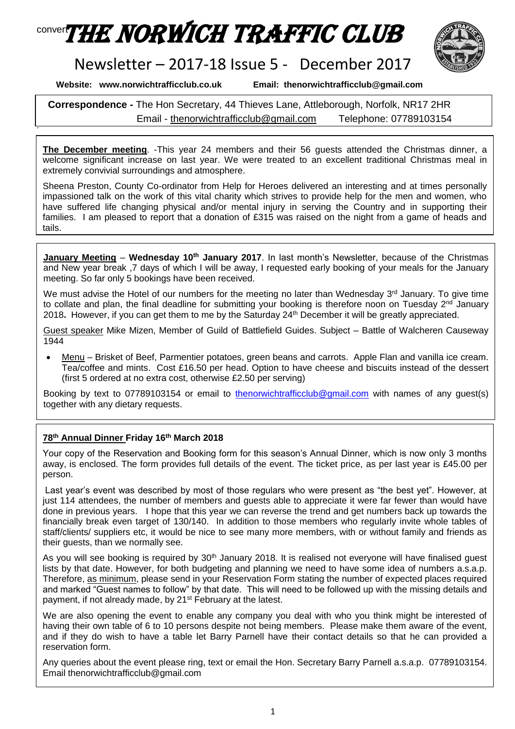# conver**THE NORWICH TRAFFIC CLUB**



## Newsletter – 2017-18 Issue 5 - December 2017

**Website: www.norwichtrafficclub.co.uk Email: thenorwichtrafficclub@gmail.com**

.

**Correspondence -** The Hon Secretary, 44 Thieves Lane, Attleborough, Norfolk, NR17 2HR Email - [thenorwichtrafficclub@gmail.com](mailto:thenorwichtrafficclub@gmail.com) Telephone: 07789103154

**The December meeting**. -This year 24 members and their 56 guests attended the Christmas dinner, a welcome significant increase on last year. We were treated to an excellent traditional Christmas meal in extremely convivial surroundings and atmosphere.

Sheena Preston, County Co-ordinator from Help for Heroes delivered an interesting and at times personally impassioned talk on the work of this vital charity which strives to provide help for the men and women, who have suffered life changing physical and/or mental injury in serving the Country and in supporting their families. I am pleased to report that a donation of £315 was raised on the night from a game of heads and tails.

**January Meeting** – **Wednesday 10th January 2017**. In last month's Newsletter, because of the Christmas and New year break ,7 days of which I will be away, I requested early booking of your meals for the January meeting. So far only 5 bookings have been received.

We must advise the Hotel of our numbers for the meeting no later than Wednesday 3rd January. To give time to collate and plan, the final deadline for submitting your booking is therefore noon on Tuesday 2<sup>nd</sup> January 2018**.** However, if you can get them to me by the Saturday 24th December it will be greatly appreciated.

Guest speaker Mike Mizen, Member of Guild of Battlefield Guides. Subject – Battle of Walcheren Causeway 1944

• Menu – Brisket of Beef, Parmentier potatoes, green beans and carrots. Apple Flan and vanilla ice cream. Tea/coffee and mints. Cost £16.50 per head. Option to have cheese and biscuits instead of the dessert (first 5 ordered at no extra cost, otherwise £2.50 per serving)

Booking by text to 07789103154 or email to [thenorwichtrafficclub@gmail.com](mailto:thenorwichtrafficclub@gmail.com) with names of any guest(s) together with any dietary requests.

### **78th Annual Dinner Friday 16th March 2018**

Your copy of the Reservation and Booking form for this season's Annual Dinner, which is now only 3 months away, is enclosed. The form provides full details of the event. The ticket price, as per last year is £45.00 per person.

Last year's event was described by most of those regulars who were present as "the best yet". However, at just 114 attendees, the number of members and guests able to appreciate it were far fewer than would have done in previous years. I hope that this year we can reverse the trend and get numbers back up towards the financially break even target of 130/140. In addition to those members who regularly invite whole tables of staff/clients/ suppliers etc, it would be nice to see many more members, with or without family and friends as their guests, than we normally see.

As you will see booking is required by  $30<sup>th</sup>$  January 2018. It is realised not everyone will have finalised quest lists by that date. However, for both budgeting and planning we need to have some idea of numbers a.s.a.p. Therefore, as minimum, please send in your Reservation Form stating the number of expected places required and marked "Guest names to follow" by that date. This will need to be followed up with the missing details and payment, if not already made, by 21<sup>st</sup> February at the latest.

We are also opening the event to enable any company you deal with who you think might be interested of having their own table of 6 to 10 persons despite not being members. Please make them aware of the event, and if they do wish to have a table let Barry Parnell have their contact details so that he can provided a reservation form.

Any queries about the event please ring, text or email the Hon. Secretary Barry Parnell a.s.a.p. 07789103154. Email thenorwichtrafficclub@gmail.com